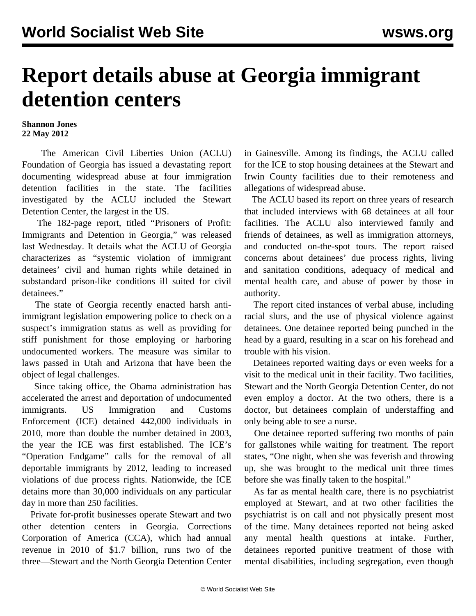## **Report details abuse at Georgia immigrant detention centers**

## **Shannon Jones 22 May 2012**

 The American Civil Liberties Union (ACLU) Foundation of Georgia has issued a devastating report documenting widespread abuse at four immigration detention facilities in the state. The facilities investigated by the ACLU included the Stewart Detention Center, the largest in the US.

 The 182-page report, titled "Prisoners of Profit: Immigrants and Detention in Georgia," was released last Wednesday. It details what the ACLU of Georgia characterizes as "systemic violation of immigrant detainees' civil and human rights while detained in substandard prison-like conditions ill suited for civil detainees."

 The state of Georgia recently enacted harsh antiimmigrant legislation empowering police to check on a suspect's immigration status as well as providing for stiff punishment for those employing or harboring undocumented workers. The measure was similar to laws passed in Utah and Arizona that have been the object of legal challenges.

 Since taking office, the Obama administration has accelerated the arrest and deportation of undocumented immigrants. US Immigration and Customs Enforcement (ICE) detained 442,000 individuals in 2010, more than double the number detained in 2003, the year the ICE was first established. The ICE's "Operation Endgame" calls for the removal of all deportable immigrants by 2012, leading to increased violations of due process rights. Nationwide, the ICE detains more than 30,000 individuals on any particular day in more than 250 facilities.

 Private for-profit businesses operate Stewart and two other detention centers in Georgia. Corrections Corporation of America (CCA), which had annual revenue in 2010 of \$1.7 billion, runs two of the three—Stewart and the North Georgia Detention Center

in Gainesville. Among its findings, the ACLU called for the ICE to stop housing detainees at the Stewart and Irwin County facilities due to their remoteness and allegations of widespread abuse.

 The ACLU based its report on three years of research that included interviews with 68 detainees at all four facilities. The ACLU also interviewed family and friends of detainees, as well as immigration attorneys, and conducted on-the-spot tours. The report raised concerns about detainees' due process rights, living and sanitation conditions, adequacy of medical and mental health care, and abuse of power by those in authority.

 The report cited instances of verbal abuse, including racial slurs, and the use of physical violence against detainees. One detainee reported being punched in the head by a guard, resulting in a scar on his forehead and trouble with his vision.

 Detainees reported waiting days or even weeks for a visit to the medical unit in their facility. Two facilities, Stewart and the North Georgia Detention Center, do not even employ a doctor. At the two others, there is a doctor, but detainees complain of understaffing and only being able to see a nurse.

 One detainee reported suffering two months of pain for gallstones while waiting for treatment. The report states, "One night, when she was feverish and throwing up, she was brought to the medical unit three times before she was finally taken to the hospital."

 As far as mental health care, there is no psychiatrist employed at Stewart, and at two other facilities the psychiatrist is on call and not physically present most of the time. Many detainees reported not being asked any mental health questions at intake. Further, detainees reported punitive treatment of those with mental disabilities, including segregation, even though